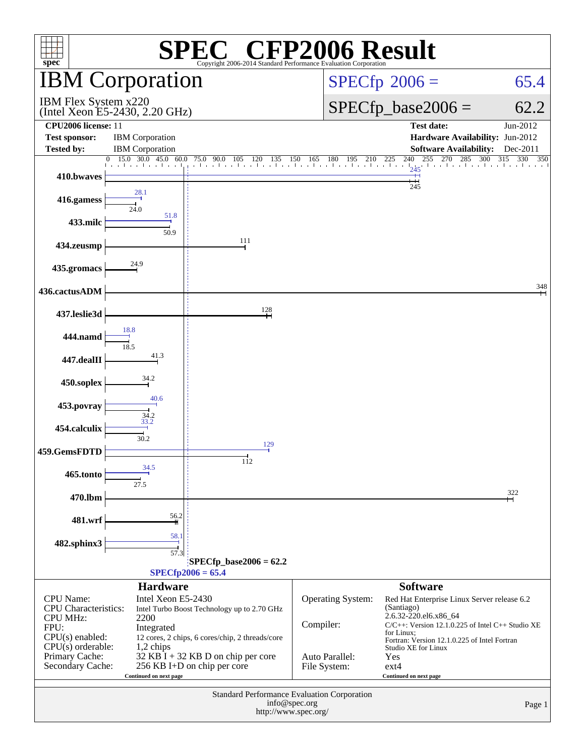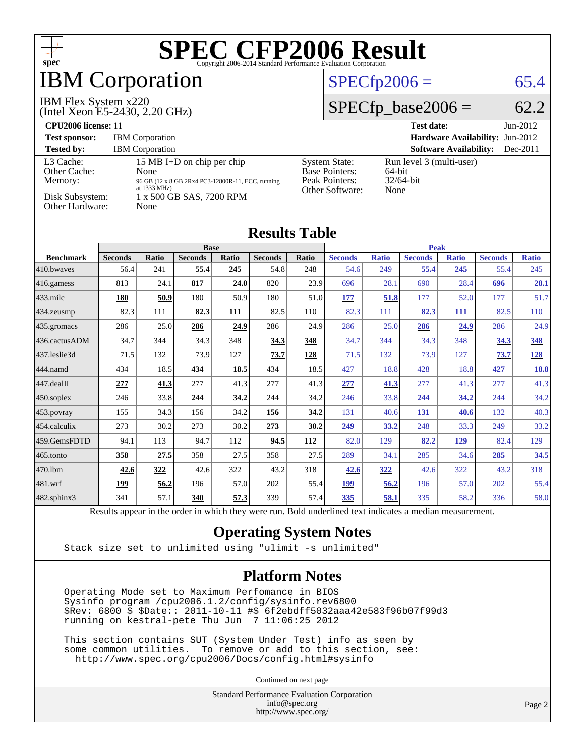

## **BM Corporation**

#### IBM Flex System x220

(Intel Xeon E5-2430, 2.20 GHz)

#### $SPECfp2006 = 65.4$  $SPECfp2006 = 65.4$

#### $SPECfp\_base2006 = 62.2$

| CPU <sub>2006</sub> license: 11                                            |                                                                                                                                             |                                                                                    | <b>Test date:</b><br>$Jun-2012$                            |
|----------------------------------------------------------------------------|---------------------------------------------------------------------------------------------------------------------------------------------|------------------------------------------------------------------------------------|------------------------------------------------------------|
| <b>Test sponsor:</b>                                                       | <b>IBM</b> Corporation                                                                                                                      |                                                                                    | <b>Hardware Availability: Jun-2012</b>                     |
| <b>Tested by:</b>                                                          | <b>IBM</b> Corporation                                                                                                                      |                                                                                    | <b>Software Availability:</b><br>$Dec-2011$                |
| L3 Cache:<br>Other Cache:<br>Memory:<br>Disk Subsystem:<br>Other Hardware: | 15 MB I+D on chip per chip<br>None<br>96 GB (12 x 8 GB 2Rx4 PC3-12800R-11, ECC, running<br>at 1333 MHz)<br>1 x 500 GB SAS, 7200 RPM<br>None | <b>System State:</b><br><b>Base Pointers:</b><br>Peak Pointers:<br>Other Software: | Run level 3 (multi-user)<br>64-bit<br>$32/64$ -bit<br>None |

| <b>Results Table</b>   |                |              |                |       |                |             |                |              |                |              |                |              |
|------------------------|----------------|--------------|----------------|-------|----------------|-------------|----------------|--------------|----------------|--------------|----------------|--------------|
|                        | <b>Base</b>    |              |                |       |                | <b>Peak</b> |                |              |                |              |                |              |
| <b>Benchmark</b>       | <b>Seconds</b> | <b>Ratio</b> | <b>Seconds</b> | Ratio | <b>Seconds</b> | Ratio       | <b>Seconds</b> | <b>Ratio</b> | <b>Seconds</b> | <b>Ratio</b> | <b>Seconds</b> | <b>Ratio</b> |
| $ 410$ .bwayes         | 56.4           | 241          | 55.4           | 245   | 54.8           | 248         | 54.6           | 249          | 55.4           | <u>245</u>   | 55.4           | 245          |
| $416$ .gamess          | 813            | 24.1         | 817            | 24.0  | 820            | 23.9        | 696            | 28.1         | 690            | 28.4         | 696            | 28.1         |
| $433$ .milc            | 180            | 50.9         | 180            | 50.9  | 180            | 51.0        | 177            | 51.8         | 177            | 52.0         | 177            | 51.7         |
| $434$ . zeusmp         | 82.3           | 111          | 82.3           | 111   | 82.5           | 110         | 82.3           | 111          | 82.3           | <b>111</b>   | 82.5           | 110          |
| $435.$ gromacs         | 286            | 25.0         | 286            | 24.9  | 286            | 24.9        | 286            | 25.0         | 286            | 24.9         | 286            | 24.9         |
| 436.cactusADM          | 34.7           | 344          | 34.3           | 348   | 34.3           | 348         | 34.7           | 344          | 34.3           | 348          | 34.3           | 348          |
| 437.leslie3d           | 71.5           | 132          | 73.9           | 127   | 73.7           | 128         | 71.5           | 132          | 73.9           | 127          | 73.7           | <u>128</u>   |
| 444.namd               | 434            | 18.5         | 434            | 18.5  | 434            | 18.5        | 427            | 18.8         | 428            | 18.8         | 427            | <b>18.8</b>  |
| $ 447 \text{.}$ dealII | 277            | 41.3         | 277            | 41.3  | 277            | 41.3        | 277            | 41.3         | 277            | 41.3         | 277            | 41.3         |
| $450$ .soplex          | 246            | 33.8         | 244            | 34.2  | 244            | 34.2        | 246            | 33.8         | 244            | 34.2         | 244            | 34.2         |
| 453.povray             | 155            | 34.3         | 156            | 34.2  | 156            | 34.2        | 131            | 40.6         | 131            | 40.6         | 132            | 40.3         |
| $ 454$ .calculix       | 273            | 30.2         | 273            | 30.2  | 273            | 30.2        | 249            | 33.2         | 248            | 33.3         | 249            | 33.2         |
| 459.GemsFDTD           | 94.1           | 113          | 94.7           | 112   | 94.5           | 112         | 82.0           | 129          | 82.2           | <u>129</u>   | 82.4           | 129          |
| 465.tonto              | 358            | 27.5         | 358            | 27.5  | 358            | 27.5        | 289            | 34.1         | 285            | 34.6         | 285            | 34.5         |
| 470.1bm                | 42.6           | 322          | 42.6           | 322   | 43.2           | 318         | 42.6           | 322          | 42.6           | 322          | 43.2           | 318          |
| 481.wrf                | 199            | 56.2         | 196            | 57.0  | 202            | 55.4        | <u>199</u>     | 56.2         | 196            | 57.0         | 202            | 55.4         |
| 482.sphinx3            | 341            | 57.1         | 340            | 57.3  | 339            | 57.4        | 335            | 58.1         | 335            | 58.2         | 336            | 58.0         |

Results appear in the [order in which they were run.](http://www.spec.org/auto/cpu2006/Docs/result-fields.html#RunOrder) Bold underlined text [indicates a median measurement.](http://www.spec.org/auto/cpu2006/Docs/result-fields.html#Median)

#### **[Operating System Notes](http://www.spec.org/auto/cpu2006/Docs/result-fields.html#OperatingSystemNotes)**

Stack size set to unlimited using "ulimit -s unlimited"

#### **[Platform Notes](http://www.spec.org/auto/cpu2006/Docs/result-fields.html#PlatformNotes)**

 Operating Mode set to Maximum Perfomance in BIOS Sysinfo program /cpu2006.1.2/config/sysinfo.rev6800 \$Rev: 6800 \$ \$Date:: 2011-10-11 #\$ 6f2ebdff5032aaa42e583f96b07f99d3 running on kestral-pete Thu Jun 7 11:06:25 2012

 This section contains SUT (System Under Test) info as seen by some common utilities. To remove or add to this section, see: <http://www.spec.org/cpu2006/Docs/config.html#sysinfo>

Continued on next page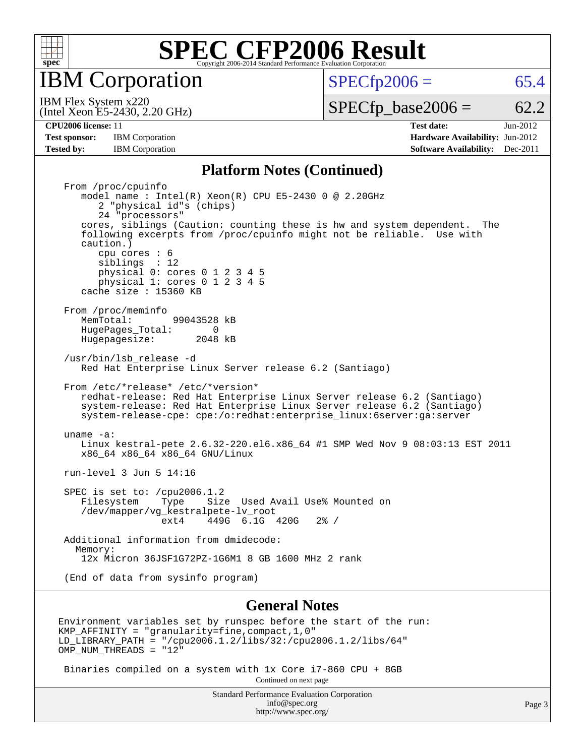

IBM Corporation

 $SPECTp2006 = 65.4$ 

(Intel Xeon E5-2430, 2.20 GHz) IBM Flex System x220

 $SPECTp\_base2006 = 62.2$ 

**[Test sponsor:](http://www.spec.org/auto/cpu2006/Docs/result-fields.html#Testsponsor)** IBM Corporation **IBM** Corporation **[Hardware Availability:](http://www.spec.org/auto/cpu2006/Docs/result-fields.html#HardwareAvailability)** Jun-2012 **[Tested by:](http://www.spec.org/auto/cpu2006/Docs/result-fields.html#Testedby)** IBM Corporation **[Software Availability:](http://www.spec.org/auto/cpu2006/Docs/result-fields.html#SoftwareAvailability)** Dec-2011

**[CPU2006 license:](http://www.spec.org/auto/cpu2006/Docs/result-fields.html#CPU2006license)** 11 **[Test date:](http://www.spec.org/auto/cpu2006/Docs/result-fields.html#Testdate)** Jun-2012

#### **[Platform Notes \(Continued\)](http://www.spec.org/auto/cpu2006/Docs/result-fields.html#PlatformNotes)**

 From /proc/cpuinfo model name : Intel(R) Xeon(R) CPU E5-2430 0 @ 2.20GHz 2 "physical id"s (chips) 24 "processors" cores, siblings (Caution: counting these is hw and system dependent. The following excerpts from /proc/cpuinfo might not be reliable. Use with caution.) cpu cores : 6 siblings : 12 physical 0: cores 0 1 2 3 4 5 physical 1: cores 0 1 2 3 4 5 cache size : 15360 KB From /proc/meminfo<br>MemTotal: 99043528 kB HugePages\_Total: 0<br>Hugepagesize: 2048 kB Hugepagesize: /usr/bin/lsb\_release -d Red Hat Enterprise Linux Server release 6.2 (Santiago) From /etc/\*release\* /etc/\*version\* redhat-release: Red Hat Enterprise Linux Server release 6.2 (Santiago) system-release: Red Hat Enterprise Linux Server release 6.2 (Santiago) system-release-cpe: cpe:/o:redhat:enterprise\_linux:6server:ga:server uname -a: Linux kestral-pete 2.6.32-220.el6.x86\_64 #1 SMP Wed Nov 9 08:03:13 EST 2011 x86 64 x86 64 x86 64 GNU/Linux run-level 3 Jun 5 14:16 SPEC is set to: /cpu2006.1.2<br>Filesystem Type Size Type Size Used Avail Use% Mounted on /dev/mapper/vg\_kestralpete-lv\_root ext4 449G 6.1G 420G 2% / Additional information from dmidecode: Memory: 12x Micron 36JSF1G72PZ-1G6M1 8 GB 1600 MHz 2 rank (End of data from sysinfo program)

#### **[General Notes](http://www.spec.org/auto/cpu2006/Docs/result-fields.html#GeneralNotes)**

Environment variables set by runspec before the start of the run: KMP\_AFFINITY = "granularity=fine,compact,1,0" LD\_LIBRARY\_PATH = "/cpu2006.1.2/libs/32:/cpu2006.1.2/libs/64" OMP NUM THREADS = "12"

 Binaries compiled on a system with 1x Core i7-860 CPU + 8GB Continued on next page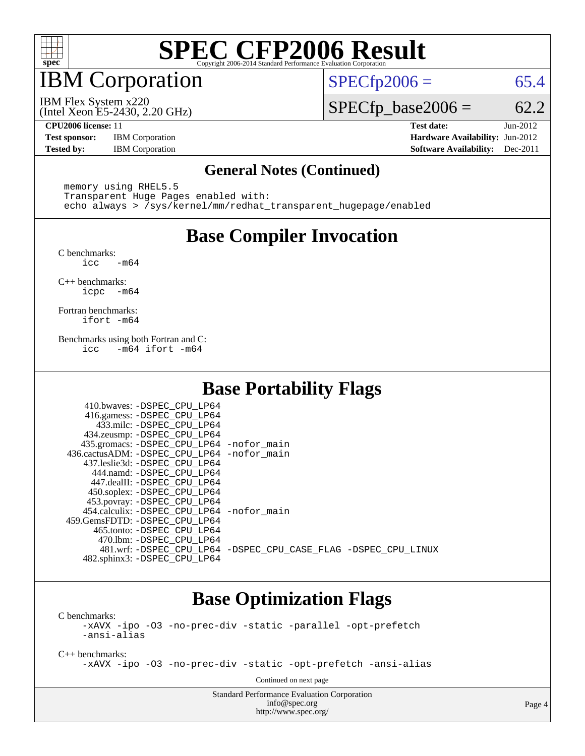

## IBM Corporation

 $SPECTp2006 = 65.4$ 

(Intel Xeon E5-2430, 2.20 GHz) IBM Flex System x220

 $SPECTp\_base2006 = 62.2$ 

**[Test sponsor:](http://www.spec.org/auto/cpu2006/Docs/result-fields.html#Testsponsor)** IBM Corporation **[Hardware Availability:](http://www.spec.org/auto/cpu2006/Docs/result-fields.html#HardwareAvailability)** Jun-2012

**[CPU2006 license:](http://www.spec.org/auto/cpu2006/Docs/result-fields.html#CPU2006license)** 11 **[Test date:](http://www.spec.org/auto/cpu2006/Docs/result-fields.html#Testdate)** Jun-2012 **[Tested by:](http://www.spec.org/auto/cpu2006/Docs/result-fields.html#Testedby)** IBM Corporation **[Software Availability:](http://www.spec.org/auto/cpu2006/Docs/result-fields.html#SoftwareAvailability)** Dec-2011

#### **[General Notes \(Continued\)](http://www.spec.org/auto/cpu2006/Docs/result-fields.html#GeneralNotes)**

 memory using RHEL5.5 Transparent Huge Pages enabled with: echo always > /sys/kernel/mm/redhat\_transparent\_hugepage/enabled

### **[Base Compiler Invocation](http://www.spec.org/auto/cpu2006/Docs/result-fields.html#BaseCompilerInvocation)**

[C benchmarks](http://www.spec.org/auto/cpu2006/Docs/result-fields.html#Cbenchmarks):  $-m64$ 

[C++ benchmarks:](http://www.spec.org/auto/cpu2006/Docs/result-fields.html#CXXbenchmarks) [icpc -m64](http://www.spec.org/cpu2006/results/res2012q3/cpu2006-20120618-23024.flags.html#user_CXXbase_intel_icpc_64bit_bedb90c1146cab66620883ef4f41a67e)

[Fortran benchmarks](http://www.spec.org/auto/cpu2006/Docs/result-fields.html#Fortranbenchmarks): [ifort -m64](http://www.spec.org/cpu2006/results/res2012q3/cpu2006-20120618-23024.flags.html#user_FCbase_intel_ifort_64bit_ee9d0fb25645d0210d97eb0527dcc06e)

[Benchmarks using both Fortran and C](http://www.spec.org/auto/cpu2006/Docs/result-fields.html#BenchmarksusingbothFortranandC): [icc -m64](http://www.spec.org/cpu2006/results/res2012q3/cpu2006-20120618-23024.flags.html#user_CC_FCbase_intel_icc_64bit_0b7121f5ab7cfabee23d88897260401c) [ifort -m64](http://www.spec.org/cpu2006/results/res2012q3/cpu2006-20120618-23024.flags.html#user_CC_FCbase_intel_ifort_64bit_ee9d0fb25645d0210d97eb0527dcc06e)

## **[Base Portability Flags](http://www.spec.org/auto/cpu2006/Docs/result-fields.html#BasePortabilityFlags)**

| 410.bwaves: -DSPEC CPU LP64                |                                                                |
|--------------------------------------------|----------------------------------------------------------------|
| 416.gamess: - DSPEC_CPU_LP64               |                                                                |
| 433.milc: -DSPEC CPU LP64                  |                                                                |
| 434.zeusmp: -DSPEC_CPU_LP64                |                                                                |
| 435.gromacs: -DSPEC_CPU_LP64 -nofor_main   |                                                                |
| 436.cactusADM: -DSPEC CPU LP64 -nofor main |                                                                |
| 437.leslie3d: -DSPEC CPU LP64              |                                                                |
| 444.namd: -DSPEC CPU LP64                  |                                                                |
| 447.dealII: -DSPEC CPU LP64                |                                                                |
| 450.soplex: -DSPEC_CPU_LP64                |                                                                |
| 453.povray: -DSPEC_CPU_LP64                |                                                                |
| 454.calculix: -DSPEC_CPU_LP64 -nofor_main  |                                                                |
| 459.GemsFDTD: -DSPEC_CPU LP64              |                                                                |
| 465.tonto: - DSPEC CPU LP64                |                                                                |
| 470.1bm: -DSPEC CPU LP64                   |                                                                |
|                                            | 481.wrf: -DSPEC CPU_LP64 -DSPEC_CPU_CASE_FLAG -DSPEC_CPU_LINUX |
| 482.sphinx3: -DSPEC_CPU_LP64               |                                                                |

### **[Base Optimization Flags](http://www.spec.org/auto/cpu2006/Docs/result-fields.html#BaseOptimizationFlags)**

[C benchmarks](http://www.spec.org/auto/cpu2006/Docs/result-fields.html#Cbenchmarks):

[-xAVX](http://www.spec.org/cpu2006/results/res2012q3/cpu2006-20120618-23024.flags.html#user_CCbase_f-xAVX) [-ipo](http://www.spec.org/cpu2006/results/res2012q3/cpu2006-20120618-23024.flags.html#user_CCbase_f-ipo) [-O3](http://www.spec.org/cpu2006/results/res2012q3/cpu2006-20120618-23024.flags.html#user_CCbase_f-O3) [-no-prec-div](http://www.spec.org/cpu2006/results/res2012q3/cpu2006-20120618-23024.flags.html#user_CCbase_f-no-prec-div) [-static](http://www.spec.org/cpu2006/results/res2012q3/cpu2006-20120618-23024.flags.html#user_CCbase_f-static) [-parallel](http://www.spec.org/cpu2006/results/res2012q3/cpu2006-20120618-23024.flags.html#user_CCbase_f-parallel) [-opt-prefetch](http://www.spec.org/cpu2006/results/res2012q3/cpu2006-20120618-23024.flags.html#user_CCbase_f-opt-prefetch) [-ansi-alias](http://www.spec.org/cpu2006/results/res2012q3/cpu2006-20120618-23024.flags.html#user_CCbase_f-ansi-alias)

[C++ benchmarks:](http://www.spec.org/auto/cpu2006/Docs/result-fields.html#CXXbenchmarks)

[-xAVX](http://www.spec.org/cpu2006/results/res2012q3/cpu2006-20120618-23024.flags.html#user_CXXbase_f-xAVX) [-ipo](http://www.spec.org/cpu2006/results/res2012q3/cpu2006-20120618-23024.flags.html#user_CXXbase_f-ipo) [-O3](http://www.spec.org/cpu2006/results/res2012q3/cpu2006-20120618-23024.flags.html#user_CXXbase_f-O3) [-no-prec-div](http://www.spec.org/cpu2006/results/res2012q3/cpu2006-20120618-23024.flags.html#user_CXXbase_f-no-prec-div) [-static](http://www.spec.org/cpu2006/results/res2012q3/cpu2006-20120618-23024.flags.html#user_CXXbase_f-static) [-opt-prefetch](http://www.spec.org/cpu2006/results/res2012q3/cpu2006-20120618-23024.flags.html#user_CXXbase_f-opt-prefetch) [-ansi-alias](http://www.spec.org/cpu2006/results/res2012q3/cpu2006-20120618-23024.flags.html#user_CXXbase_f-ansi-alias)

Continued on next page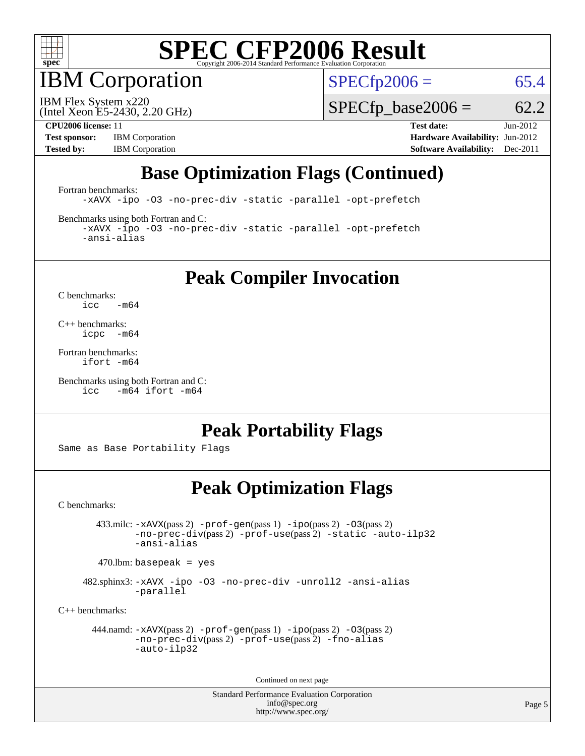

IBM Corporation

 $SPECTp2006 = 65.4$ 

(Intel Xeon E5-2430, 2.20 GHz) IBM Flex System x220

 $SPECTp\_base2006 = 62.2$ 

**[Test sponsor:](http://www.spec.org/auto/cpu2006/Docs/result-fields.html#Testsponsor)** IBM Corporation **[Hardware Availability:](http://www.spec.org/auto/cpu2006/Docs/result-fields.html#HardwareAvailability)** Jun-2012

**[CPU2006 license:](http://www.spec.org/auto/cpu2006/Docs/result-fields.html#CPU2006license)** 11 **[Test date:](http://www.spec.org/auto/cpu2006/Docs/result-fields.html#Testdate)** Jun-2012 **[Tested by:](http://www.spec.org/auto/cpu2006/Docs/result-fields.html#Testedby)** IBM Corporation **[Software Availability:](http://www.spec.org/auto/cpu2006/Docs/result-fields.html#SoftwareAvailability)** Dec-2011

## **[Base Optimization Flags \(Continued\)](http://www.spec.org/auto/cpu2006/Docs/result-fields.html#BaseOptimizationFlags)**

[Fortran benchmarks](http://www.spec.org/auto/cpu2006/Docs/result-fields.html#Fortranbenchmarks):

[-xAVX](http://www.spec.org/cpu2006/results/res2012q3/cpu2006-20120618-23024.flags.html#user_FCbase_f-xAVX) [-ipo](http://www.spec.org/cpu2006/results/res2012q3/cpu2006-20120618-23024.flags.html#user_FCbase_f-ipo) [-O3](http://www.spec.org/cpu2006/results/res2012q3/cpu2006-20120618-23024.flags.html#user_FCbase_f-O3) [-no-prec-div](http://www.spec.org/cpu2006/results/res2012q3/cpu2006-20120618-23024.flags.html#user_FCbase_f-no-prec-div) [-static](http://www.spec.org/cpu2006/results/res2012q3/cpu2006-20120618-23024.flags.html#user_FCbase_f-static) [-parallel](http://www.spec.org/cpu2006/results/res2012q3/cpu2006-20120618-23024.flags.html#user_FCbase_f-parallel) [-opt-prefetch](http://www.spec.org/cpu2006/results/res2012q3/cpu2006-20120618-23024.flags.html#user_FCbase_f-opt-prefetch)

[Benchmarks using both Fortran and C](http://www.spec.org/auto/cpu2006/Docs/result-fields.html#BenchmarksusingbothFortranandC):

[-xAVX](http://www.spec.org/cpu2006/results/res2012q3/cpu2006-20120618-23024.flags.html#user_CC_FCbase_f-xAVX) [-ipo](http://www.spec.org/cpu2006/results/res2012q3/cpu2006-20120618-23024.flags.html#user_CC_FCbase_f-ipo) [-O3](http://www.spec.org/cpu2006/results/res2012q3/cpu2006-20120618-23024.flags.html#user_CC_FCbase_f-O3) [-no-prec-div](http://www.spec.org/cpu2006/results/res2012q3/cpu2006-20120618-23024.flags.html#user_CC_FCbase_f-no-prec-div) [-static](http://www.spec.org/cpu2006/results/res2012q3/cpu2006-20120618-23024.flags.html#user_CC_FCbase_f-static) [-parallel](http://www.spec.org/cpu2006/results/res2012q3/cpu2006-20120618-23024.flags.html#user_CC_FCbase_f-parallel) [-opt-prefetch](http://www.spec.org/cpu2006/results/res2012q3/cpu2006-20120618-23024.flags.html#user_CC_FCbase_f-opt-prefetch) [-ansi-alias](http://www.spec.org/cpu2006/results/res2012q3/cpu2006-20120618-23024.flags.html#user_CC_FCbase_f-ansi-alias)

**[Peak Compiler Invocation](http://www.spec.org/auto/cpu2006/Docs/result-fields.html#PeakCompilerInvocation)**

[C benchmarks](http://www.spec.org/auto/cpu2006/Docs/result-fields.html#Cbenchmarks):  $\text{icc}$  -m64

[C++ benchmarks:](http://www.spec.org/auto/cpu2006/Docs/result-fields.html#CXXbenchmarks) [icpc -m64](http://www.spec.org/cpu2006/results/res2012q3/cpu2006-20120618-23024.flags.html#user_CXXpeak_intel_icpc_64bit_bedb90c1146cab66620883ef4f41a67e)

[Fortran benchmarks](http://www.spec.org/auto/cpu2006/Docs/result-fields.html#Fortranbenchmarks): [ifort -m64](http://www.spec.org/cpu2006/results/res2012q3/cpu2006-20120618-23024.flags.html#user_FCpeak_intel_ifort_64bit_ee9d0fb25645d0210d97eb0527dcc06e)

[Benchmarks using both Fortran and C](http://www.spec.org/auto/cpu2006/Docs/result-fields.html#BenchmarksusingbothFortranandC): [icc -m64](http://www.spec.org/cpu2006/results/res2012q3/cpu2006-20120618-23024.flags.html#user_CC_FCpeak_intel_icc_64bit_0b7121f5ab7cfabee23d88897260401c) [ifort -m64](http://www.spec.org/cpu2006/results/res2012q3/cpu2006-20120618-23024.flags.html#user_CC_FCpeak_intel_ifort_64bit_ee9d0fb25645d0210d97eb0527dcc06e)

#### **[Peak Portability Flags](http://www.spec.org/auto/cpu2006/Docs/result-fields.html#PeakPortabilityFlags)**

Same as Base Portability Flags

### **[Peak Optimization Flags](http://www.spec.org/auto/cpu2006/Docs/result-fields.html#PeakOptimizationFlags)**

[C benchmarks](http://www.spec.org/auto/cpu2006/Docs/result-fields.html#Cbenchmarks):

 433.milc: [-xAVX](http://www.spec.org/cpu2006/results/res2012q3/cpu2006-20120618-23024.flags.html#user_peakPASS2_CFLAGSPASS2_LDFLAGS433_milc_f-xAVX)(pass 2) [-prof-gen](http://www.spec.org/cpu2006/results/res2012q3/cpu2006-20120618-23024.flags.html#user_peakPASS1_CFLAGSPASS1_LDFLAGS433_milc_prof_gen_e43856698f6ca7b7e442dfd80e94a8fc)(pass 1) [-ipo](http://www.spec.org/cpu2006/results/res2012q3/cpu2006-20120618-23024.flags.html#user_peakPASS2_CFLAGSPASS2_LDFLAGS433_milc_f-ipo)(pass 2) [-O3](http://www.spec.org/cpu2006/results/res2012q3/cpu2006-20120618-23024.flags.html#user_peakPASS2_CFLAGSPASS2_LDFLAGS433_milc_f-O3)(pass 2) [-no-prec-div](http://www.spec.org/cpu2006/results/res2012q3/cpu2006-20120618-23024.flags.html#user_peakPASS2_CFLAGSPASS2_LDFLAGS433_milc_f-no-prec-div)(pass 2) [-prof-use](http://www.spec.org/cpu2006/results/res2012q3/cpu2006-20120618-23024.flags.html#user_peakPASS2_CFLAGSPASS2_LDFLAGS433_milc_prof_use_bccf7792157ff70d64e32fe3e1250b55)(pass 2) [-static](http://www.spec.org/cpu2006/results/res2012q3/cpu2006-20120618-23024.flags.html#user_peakOPTIMIZE433_milc_f-static) [-auto-ilp32](http://www.spec.org/cpu2006/results/res2012q3/cpu2006-20120618-23024.flags.html#user_peakCOPTIMIZE433_milc_f-auto-ilp32) [-ansi-alias](http://www.spec.org/cpu2006/results/res2012q3/cpu2006-20120618-23024.flags.html#user_peakCOPTIMIZE433_milc_f-ansi-alias)

 $470.$ lbm: basepeak = yes

 482.sphinx3: [-xAVX](http://www.spec.org/cpu2006/results/res2012q3/cpu2006-20120618-23024.flags.html#user_peakOPTIMIZE482_sphinx3_f-xAVX) [-ipo](http://www.spec.org/cpu2006/results/res2012q3/cpu2006-20120618-23024.flags.html#user_peakOPTIMIZE482_sphinx3_f-ipo) [-O3](http://www.spec.org/cpu2006/results/res2012q3/cpu2006-20120618-23024.flags.html#user_peakOPTIMIZE482_sphinx3_f-O3) [-no-prec-div](http://www.spec.org/cpu2006/results/res2012q3/cpu2006-20120618-23024.flags.html#user_peakOPTIMIZE482_sphinx3_f-no-prec-div) [-unroll2](http://www.spec.org/cpu2006/results/res2012q3/cpu2006-20120618-23024.flags.html#user_peakCOPTIMIZE482_sphinx3_f-unroll_784dae83bebfb236979b41d2422d7ec2) [-ansi-alias](http://www.spec.org/cpu2006/results/res2012q3/cpu2006-20120618-23024.flags.html#user_peakCOPTIMIZE482_sphinx3_f-ansi-alias) [-parallel](http://www.spec.org/cpu2006/results/res2012q3/cpu2006-20120618-23024.flags.html#user_peakCOPTIMIZE482_sphinx3_f-parallel)

[C++ benchmarks:](http://www.spec.org/auto/cpu2006/Docs/result-fields.html#CXXbenchmarks)

```
 444.namd: -xAVX(pass 2) -prof-gen(pass 1) -ipo(pass 2) -O3(pass 2)
-no-prec-div(pass 2) -prof-use(pass 2) -fno-alias
-auto-ilp32
```
Continued on next page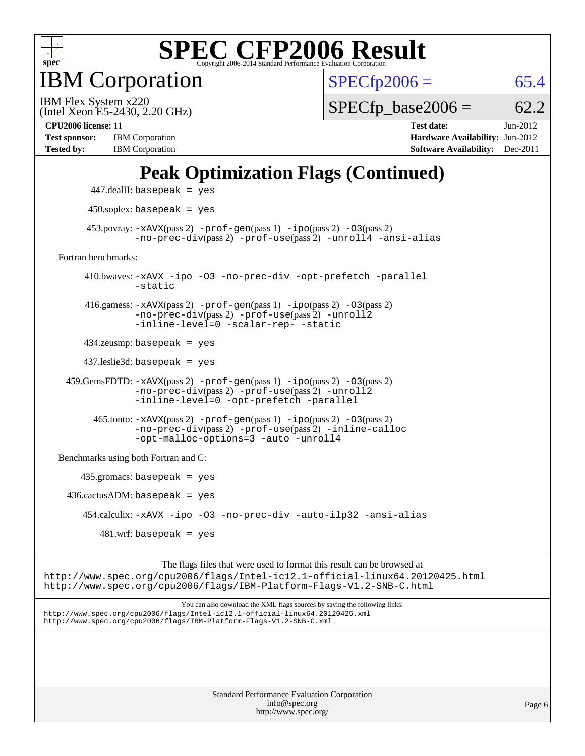

IBM Corporation

 $SPECfp2006 = 65.4$  $SPECfp2006 = 65.4$ 

(Intel Xeon E5-2430, 2.20 GHz) IBM Flex System x220

 $SPECfp\_base2006 = 62.2$ 

**[Test sponsor:](http://www.spec.org/auto/cpu2006/Docs/result-fields.html#Testsponsor)** IBM Corporation **[Hardware Availability:](http://www.spec.org/auto/cpu2006/Docs/result-fields.html#HardwareAvailability)** Jun-2012 **[Tested by:](http://www.spec.org/auto/cpu2006/Docs/result-fields.html#Testedby)** IBM Corporation **[Software Availability:](http://www.spec.org/auto/cpu2006/Docs/result-fields.html#SoftwareAvailability)** Dec-2011

**[CPU2006 license:](http://www.spec.org/auto/cpu2006/Docs/result-fields.html#CPU2006license)** 11 **[Test date:](http://www.spec.org/auto/cpu2006/Docs/result-fields.html#Testdate)** Jun-2012

## **[Peak Optimization Flags \(Continued\)](http://www.spec.org/auto/cpu2006/Docs/result-fields.html#PeakOptimizationFlags)**

|                                      | $447$ .dealII: basepeak = yes                                                                                                                                             |
|--------------------------------------|---------------------------------------------------------------------------------------------------------------------------------------------------------------------------|
|                                      | $450$ .soplex: basepeak = yes                                                                                                                                             |
|                                      | $453.$ povray: $-xAVX(pass 2)$ -prof-gen(pass 1) -ipo(pass 2) -03(pass 2)<br>-no-prec-div(pass 2) -prof-use(pass 2) -unroll4 -ansi-alias                                  |
| Fortran benchmarks:                  |                                                                                                                                                                           |
|                                      | 410.bwaves: -xAVX -ipo -03 -no-prec-div -opt-prefetch -parallel<br>$-static$                                                                                              |
|                                      | 416.gamess: $-x$ AVX(pass 2) $-prof-gen(pass 1) -ipo(pass 2) -O3(pass 2)$<br>-no-prec-div(pass 2) -prof-use(pass 2) -unroll2<br>-inline-level=0 -scalar-rep- -static      |
|                                      | $434$ .zeusmp: basepeak = yes                                                                                                                                             |
|                                      | $437$ .leslie3d: basepeak = yes                                                                                                                                           |
|                                      | $459.GemsFDTD: -xAVX(pass 2) -prof-gen(pass 1) -ipo(pass 2) -O3(pass 2)$<br>-no-prec-div(pass 2) -prof-use(pass 2) -unroll2<br>-inline-level=0 -opt-prefetch -parallel    |
|                                      | $465$ .tonto: $-xAUX(pass 2)$ -prof-gen(pass 1) -ipo(pass 2) -03(pass 2)<br>-no-prec-div(pass 2) -prof-use(pass 2) -inline-calloc<br>-opt-malloc-options=3 -auto -unroll4 |
| Benchmarks using both Fortran and C: |                                                                                                                                                                           |
|                                      | $435.gromacs: basepeak = yes$                                                                                                                                             |
|                                      | $436.cactusADM:basepeak = yes$                                                                                                                                            |
|                                      | 454.calculix: -xAVX -ipo -03 -no-prec-div -auto-ilp32 -ansi-alias                                                                                                         |
|                                      | $481 \text{.wrf}$ : basepeak = yes                                                                                                                                        |
|                                      | The flags files that were used to format this result can be browsed at                                                                                                    |

The flags files that were used to format this result can be browsed at <http://www.spec.org/cpu2006/flags/Intel-ic12.1-official-linux64.20120425.html> <http://www.spec.org/cpu2006/flags/IBM-Platform-Flags-V1.2-SNB-C.html>

You can also download the XML flags sources by saving the following links: <http://www.spec.org/cpu2006/flags/Intel-ic12.1-official-linux64.20120425.xml> <http://www.spec.org/cpu2006/flags/IBM-Platform-Flags-V1.2-SNB-C.xml>